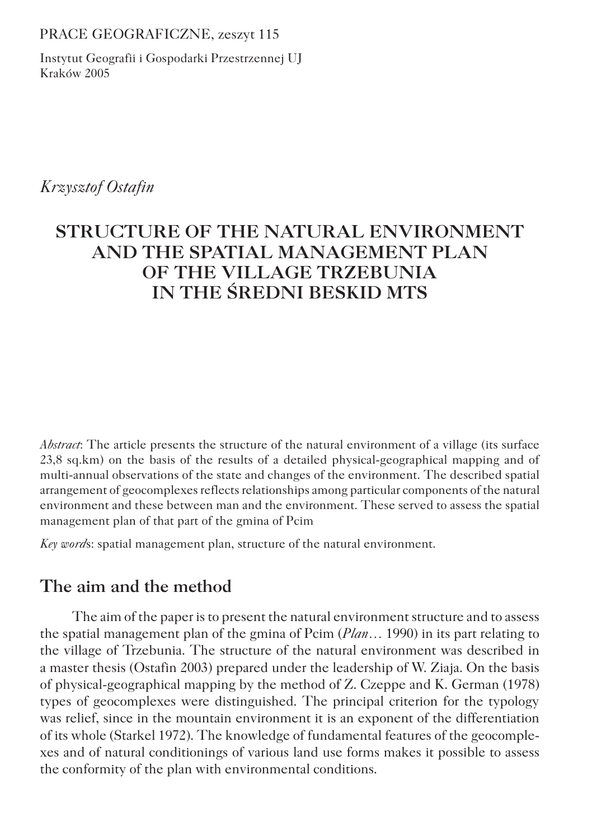#### PRACE GEOGRAFICZNE, zeszyt 115

Instytut Geografii i Gospodarki Przestrzennej UJ Kraków 2005

*Krzysztof Ostafin*

# **STRUCTURE OF THE NATURAL ENVIRONMENT AND THE SPATIAL MANAGEMENT PLAN OF THE VILLAGE TRZEBUNIA IN THE ŚREDNI BESKID MTS**

*Abstract*: The article presents the structure of the natural environment of a village (its surface 23,8 sq.km) on the basis of the results of a detailed physical-geographical mapping and of multi-annual observations of the state and changes of the environment. The described spatial arrangement of geocomplexes reflects relationships among particular components of the natural environment and these between man and the environment. These served to assess the spatial management plan of that part of the gmina of Pcim

*Key word*s: spatial management plan, structure of the natural environment.

## **The aim and the method**

The aim of the paper is to present the natural environment structure and to assess the spatial management plan of the gmina of Pcim (*Plan…* 1990) in its part relating to the village of Trzebunia. The structure of the natural environment was described in a master thesis (Ostafin 2003) prepared under the leadership of W. Ziaja. On the basis of physical-geographical mapping by the method of Z. Czeppe and K. German (1978) types of geocomplexes were distinguished. The principal criterion for the typology was relief, since in the mountain environment it is an exponent of the differentiation of its whole (Starkel 1972). The knowledge of fundamental features of the geocomplexes and of natural conditionings of various land use forms makes it possible to assess the conformity of the plan with environmental conditions.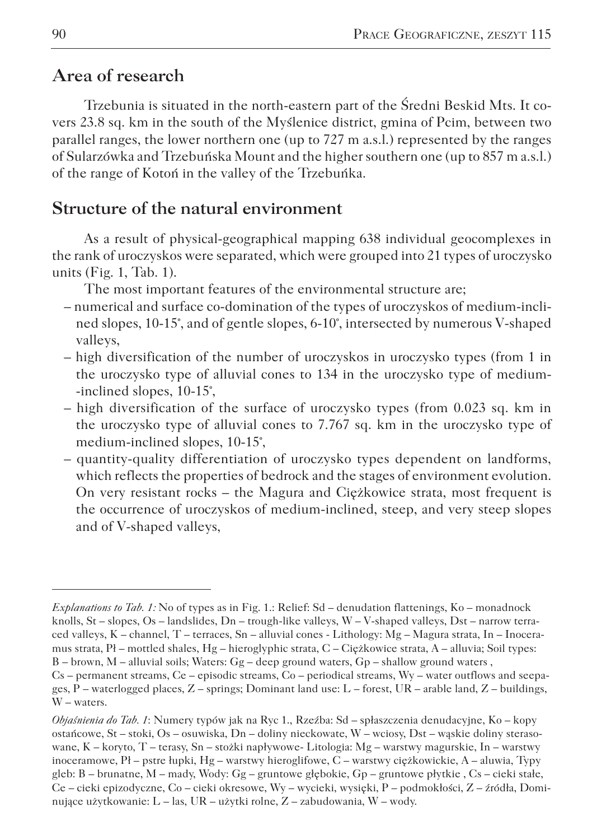### **Area of research**

Trzebunia is situated in the north-eastern part of the Średni Beskid Mts. It covers 23.8 sq. km in the south of the Myślenice district, gmina of Pcim, between two parallel ranges, the lower northern one (up to 727 m a.s.l.) represented by the ranges of Sularzówka and Trzebuńska Mount and the higher southern one (up to 857 m a.s.l.) of the range of Kotoń in the valley of the Trzebuńka.

### **Structure of the natural environment**

As a result of physical-geographical mapping 638 individual geocomplexes in the rank of uroczyskos were separated, which were grouped into 21 types of uroczysko units (Fig. 1, Tab. 1).

The most important features of the environmental structure are;

- numerical and surface co-domination of the types of uroczyskos of medium-inclined slopes, 10-15°, and of gentle slopes, 6-10°, intersected by numerous V-shaped valleys,
- high diversification of the number of uroczyskos in uroczysko types (from 1 in the uroczysko type of alluvial cones to 134 in the uroczysko type of medium- -inclined slopes, 10-15°,
- high diversification of the surface of uroczysko types (from 0.023 sq. km in the uroczysko type of alluvial cones to 7.767 sq. km in the uroczysko type of medium-inclined slopes, 10-15°,
- quantity-quality differentiation of uroczysko types dependent on landforms, which reflects the properties of bedrock and the stages of environment evolution. On very resistant rocks – the Magura and Ciężkowice strata, most frequent is the occurrence of uroczyskos of medium-inclined, steep, and very steep slopes and of V-shaped valleys,

*Explanations to Tab. 1:* No of types as in Fig. 1.: Relief: Sd – denudation flattenings, Ko – monadnock knolls, St – slopes, Os – landslides, Dn – trough-like valleys, W – V-shaped valleys, Dst – narrow terraced valleys, K – channel, T – terraces, Sn – alluvial cones - Lithology: Mg – Magura strata, In – Inoceramus strata, Pł – mottled shales, Hg – hieroglyphic strata, C – Ciężkowice strata, A – alluvia; Soil types:  $B -$  brown, M – alluvial soils; Waters:  $Gg -$  deep ground waters,  $Gp -$  shallow ground waters, Cs – permanent streams, Ce – episodic streams, Co – periodical streams, Wy – water outflows and seepages, P – waterlogged places, Z – springs; Dominant land use: L – forest, UR – arable land, Z – buildings, W – waters.

*Objaśnienia do Tab. 1*: Numery typów jak na Ryc 1., Rzeźba: Sd – spłaszczenia denudacyjne, Ko – kopy ostańcowe, St – stoki, Os – osuwiska, Dn – doliny nieckowate, W – wciosy, Dst – wąskie doliny sterasowane, K – koryto, T – terasy, Sn – stożki napływowe- Litologia: Mg – warstwy magurskie, In – warstwy inoceramowe, Pł – pstre łupki, Hg – warstwy hieroglifowe, C – warstwy ciężkowickie, A – aluwia, Typy gleb: B – brunatne, M – mady, Wody: Gg – gruntowe głębokie, Gp – gruntowe płytkie , Cs – cieki stałe, Ce – cieki epizodyczne, Co – cieki okresowe, Wy – wycieki, wysięki, P – podmokłości, Z – źródła, Dominujące użytkowanie: L – las, UR – użytki rolne, Z – zabudowania, W – wody.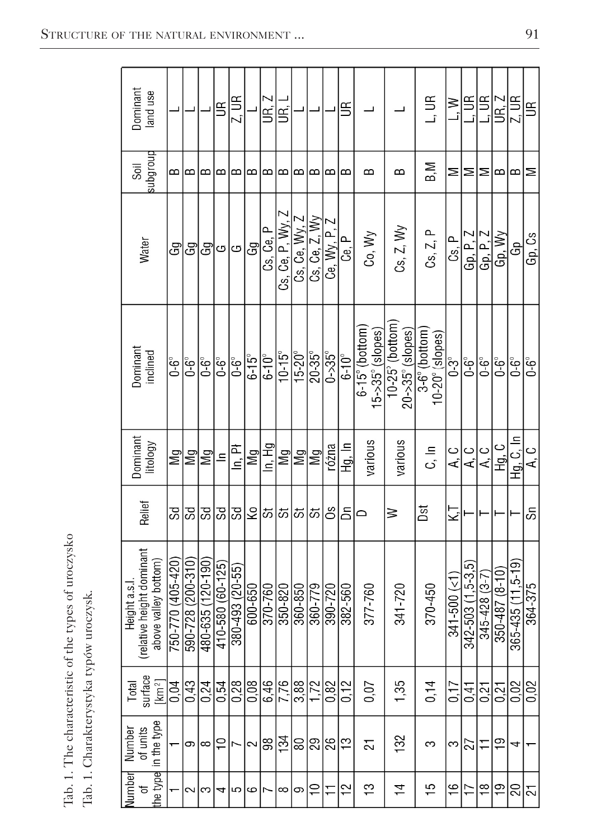| Dominant<br>land use                                             |                           |                   |                  | $\mathfrak{s}$   | 2.0R                   |                | UR. Z            | g                 |                     |                 |                | $\mathbb{E}$     |                                                  |                                            | u<br>Li                                 | ≧<br>∟i         | 9                      | 当<br>。                | UR. Z                  | Z, UR                    | $\mathbb{E}$   |
|------------------------------------------------------------------|---------------------------|-------------------|------------------|------------------|------------------------|----------------|------------------|-------------------|---------------------|-----------------|----------------|------------------|--------------------------------------------------|--------------------------------------------|-----------------------------------------|-----------------|------------------------|-----------------------|------------------------|--------------------------|----------------|
| anologns<br>Soil                                                 | $\overline{\phantom{a}}$  | $\mathbf{a}$      | $\mathbf{c}$     | $\mathbf{a}$     | $\mathbf{a}$           | $\mathbf{a}$   | $\mathbf{a}$     | $\mathbf{c}$      | $\mathbf{a}$        | $\mathbf{a}$    | $\mathbf{a}$   | $\mathbf{a}$     | $\mathbf{a}$                                     | B                                          | B,M                                     | $\geq$          | ⋝                      | ⋝                     | $\mathbf{a}$           | $\mathbf{a}$             | ⋝              |
| Water                                                            | යි                        | යි                | Gg               | G                | ၒ                      | යි             | Cs, Ce, P        | Cs, Ce, P, Wy,    | Cs. Ce. Wy. Z       | Cs, Ce, Z, WV   | Ce, Wy, P,     | டி. ந            | Co, Wy                                           | Cs, Z, Wy                                  | Cs, Z, P                                | ቤ<br>ሪ          | Gp, P, Z               | Gp. P. Z              | Gp, Wy                 | යි                       | Gp, Cs         |
| Dominant<br>inclined                                             | $6-6^\circ$               | $6^{\circ}$       | $0-6^\circ$      | ြိုင်            | $\overline{6^{\circ}}$ | $6 - 15^\circ$ | $6 - 10^{\circ}$ | $10 - 15^{\circ}$ | $15 - 20^{\circ}$   | $20 - 35^\circ$ | $0 - 35^\circ$ | $6 - 10^{\circ}$ | $6-15^\circ$ (bottom)<br>$5 - 35^\circ$ (slopes) | 10-25° (bottom<br>$20 - 35^\circ$ (slopes) | 3-6° (bottom)<br>$10-20^\circ$ (slopes) | $0-3^\circ$     | ڻ-<br>0-6              | $6^{\circ}$           | $\overline{6^{\circ}}$ | $0-6^\circ$              | $0-6^\circ$    |
| Dominant<br>litology                                             | $\overline{\mathbb{M}}$ g | Mg                | Μg               | $\equiv$         | ln. Pi                 | Μg             | In, Hg           | $\mathbb{N}$ g    | Μg                  | Μg              | różna          | lg, In           | various                                          | various                                    | ا ت                                     | ن م             | ں<br>ح                 | A, C                  | Hg, C                  | Lg.C, In                 | ن م            |
| Relief                                                           | SS                        | 8S                | SS               | Sd               | Sd                     | Ş              | 55               | 5                 | ಕಾ                  | ದ               | ő              | δñ               |                                                  | ⋧                                          | Dst                                     | ΚĪ              |                        |                       |                        |                          | င်္ဘ           |
| relative height dominant<br>above valley bottom)<br>Height a.s.l | 750-770 (405-420          | 590-728 (200-310) | 480-635 (120-190 | 410-580 (60-125) | 380-493 (20-55)        | 600-650        | 370-760          | 350-820           | $\frac{1}{360.850}$ | 360-779         | 390-720        | 382-560          | 377-760                                          | 341-720                                    | 370-450                                 | $341 - 500$ (<1 | $342 - 503(1.5 - 3.5)$ | $345 - 428$ $(3 - 7)$ | 350-487 (8-10)         | $365 - 435 (11, 5 - 19)$ | 364-375        |
| surface<br>km <sup>2</sup><br>Total                              | 0,04                      | 0.43              | 0.24             | 0.54             | 0.28                   | 0,08           | 6,46             | 7,76              | 3.88                | 1.72            | 0,82           | 0.12             | 0,07                                             | 1,35                                       | 0,14                                    | 0,17            | 0.41                   | 0.21                  | 0.21                   | 0,02                     | 0,02           |
| in the type<br>of units<br>Number                                |                           | Φ                 | ∞                | $\overline{C}$   |                        | 2              | 98               | 134               | 18                  | $\overline{29}$ | 26             | က္               | 21                                               | 32                                         | က                                       | က               | 27                     | Ξ                     | $\overline{9}$         | 4                        |                |
| he type<br>Vumber<br>đ                                           |                           | $\sim$            | $\sim$           | 4                | ∣ഥ                     | $\sim$ اها     |                  | ∞ ာ               |                     | Ρ               | 두              | $^{12}$          | ဘု                                               | $\overline{1}$                             | 15                                      | $\frac{1}{2}$   | 17                     | $\frac{8}{1}$         | $\overline{9}$         | 20                       | $\overline{c}$ |

Tab. 1. The characteristic of the types of uroczysko Tab. 1. The characteristic of the types of uroczysko Tab. 1. Charakterystyka typów uroczysk.Tab. 1. Charakterystyka typów uroczysk.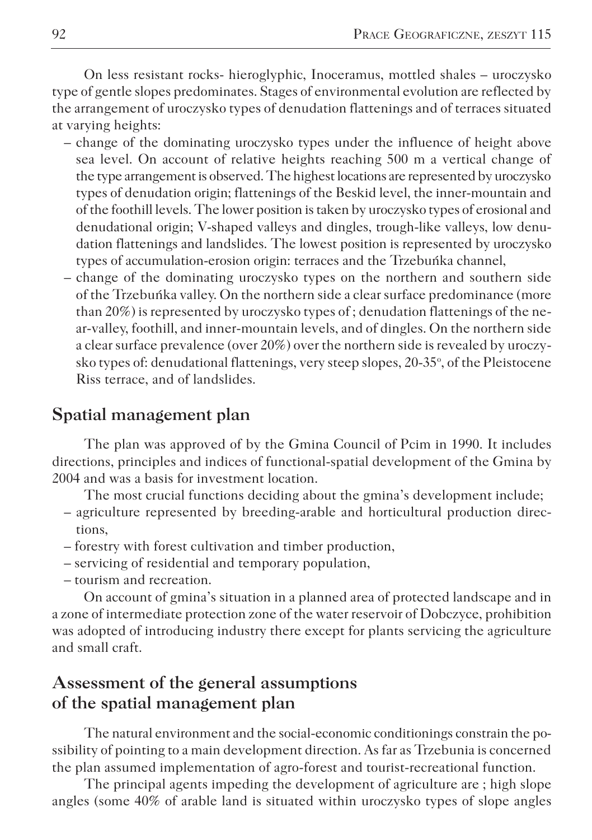On less resistant rocks- hieroglyphic, Inoceramus, mottled shales – uroczysko type of gentle slopes predominates. Stages of environmental evolution are reflected by the arrangement of uroczysko types of denudation flattenings and of terraces situated at varying heights:

- change of the dominating uroczysko types under the influence of height above sea level. On account of relative heights reaching 500 m a vertical change of the type arrangement is observed. The highest locations are represented by uroczysko types of denudation origin; flattenings of the Beskid level, the inner-mountain and of the foothill levels. The lower position is taken by uroczysko types of erosional and denudational origin; V-shaped valleys and dingles, trough-like valleys, low denudation flattenings and landslides. The lowest position is represented by uroczysko types of accumulation-erosion origin: terraces and the Trzebuńka channel,
- change of the dominating uroczysko types on the northern and southern side of the Trzebuńka valley. On the northern side a clear surface predominance (more than 20%) is represented by uroczysko types of ; denudation flattenings of the near-valley, foothill, and inner-mountain levels, and of dingles. On the northern side a clear surface prevalence (over 20%) over the northern side is revealed by uroczysko types of: denudational flattenings, very steep slopes, 20-35°, of the Pleistocene Riss terrace, and of landslides.

### **Spatial management plan**

The plan was approved of by the Gmina Council of Pcim in 1990. It includes directions, principles and indices of functional-spatial development of the Gmina by 2004 and was a basis for investment location.

The most crucial functions deciding about the gmina's development include;

- agriculture represented by breeding-arable and horticultural production directions,
- forestry with forest cultivation and timber production,
- servicing of residential and temporary population,
- tourism and recreation.

On account of gmina's situation in a planned area of protected landscape and in a zone of intermediate protection zone of the water reservoir of Dobczyce, prohibition was adopted of introducing industry there except for plants servicing the agriculture and small craft.

### **Assessment of the general assumptions of the spatial management plan**

The natural environment and the social-economic conditionings constrain the possibility of pointing to a main development direction. As far as Trzebunia is concerned the plan assumed implementation of agro-forest and tourist-recreational function.

The principal agents impeding the development of agriculture are ; high slope angles (some 40% of arable land is situated within uroczysko types of slope angles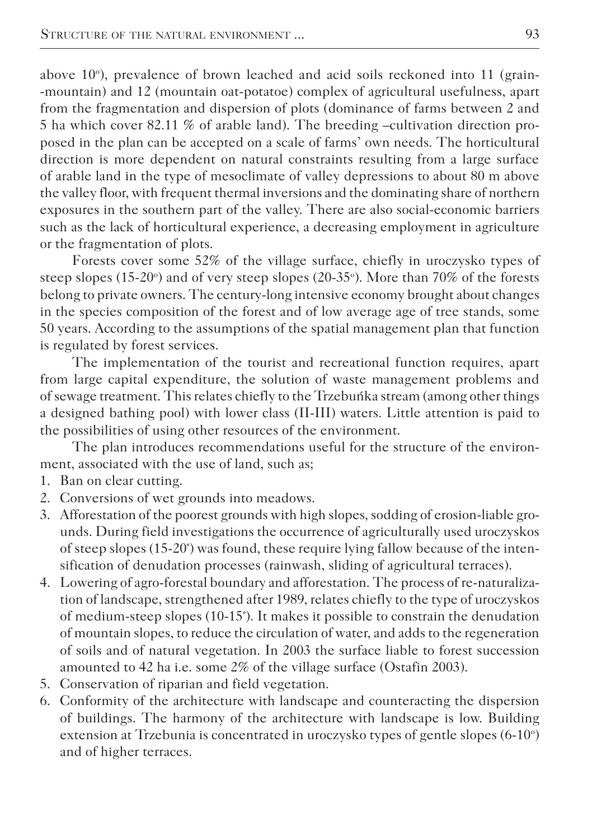above 10°), prevalence of brown leached and acid soils reckoned into 11 (grain--mountain) and 12 (mountain oat-potatoe) complex of agricultural usefulness, apart from the fragmentation and dispersion of plots (dominance of farms between 2 and 5 ha which cover 82.11 % of arable land). The breeding –cultivation direction proposed in the plan can be accepted on a scale of farms' own needs. The horticultural direction is more dependent on natural constraints resulting from a large surface of arable land in the type of mesoclimate of valley depressions to about 80 m above the valley floor, with frequent thermal inversions and the dominating share of northern exposures in the southern part of the valley. There are also social-economic barriers such as the lack of horticultural experience, a decreasing employment in agriculture or the fragmentation of plots.

Forests cover some 52% of the village surface, chiefly in uroczysko types of steep slopes  $(15{\text -}20^{\circ})$  and of very steep slopes  $(20{\text -}35^{\circ})$ . More than 70% of the forests belong to private owners. The century-long intensive economy brought about changes in the species composition of the forest and of low average age of tree stands, some 50 years. According to the assumptions of the spatial management plan that function is regulated by forest services.

The implementation of the tourist and recreational function requires, apart from large capital expenditure, the solution of waste management problems and of sewage treatment. This relates chiefly to the Trzebuńka stream (among other things a designed bathing pool) with lower class (II-III) waters. Little attention is paid to the possibilities of using other resources of the environment.

The plan introduces recommendations useful for the structure of the environment, associated with the use of land, such as;

- 1. Ban on clear cutting.
- 2. Conversions of wet grounds into meadows.
- 3. Afforestation of the poorest grounds with high slopes, sodding of erosion-liable grounds. During field investigations the occurrence of agriculturally used uroczyskos of steep slopes (15-20°) was found, these require lying fallow because of the intensification of denudation processes (rainwash, sliding of agricultural terraces).
- 4. Lowering of agro-forestal boundary and afforestation. The process of re-naturalization of landscape, strengthened after 1989, relates chiefly to the type of uroczyskos of medium-steep slopes (10-15°). It makes it possible to constrain the denudation of mountain slopes, to reduce the circulation of water, and adds to the regeneration of soils and of natural vegetation. In 2003 the surface liable to forest succession amounted to 42 ha i.e. some 2% of the village surface (Ostafin 2003).
- 5. Conservation of riparian and field vegetation.
- 6. Conformity of the architecture with landscape and counteracting the dispersion of buildings. The harmony of the architecture with landscape is low. Building extension at Trzebunia is concentrated in uroczysko types of gentle slopes (6-10°) and of higher terraces.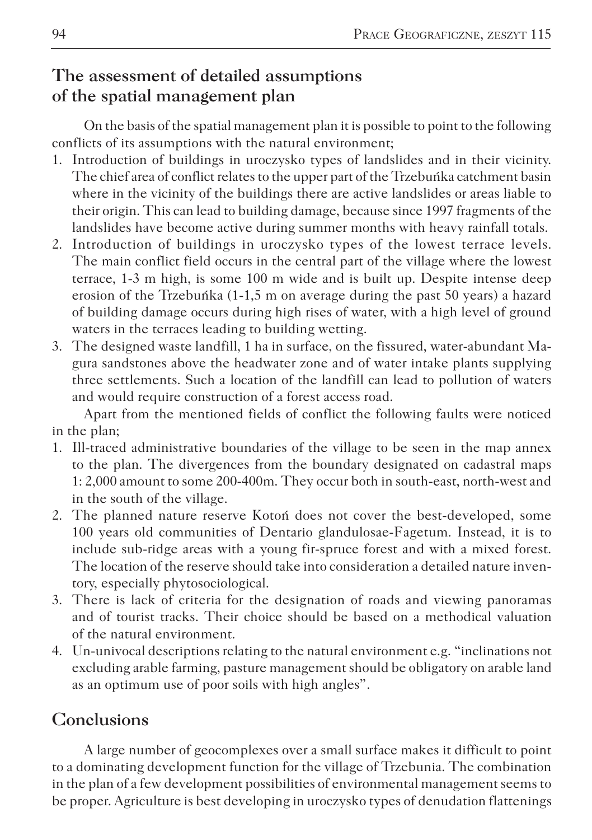# **The assessment of detailed assumptions of the spatial management plan**

On the basis of the spatial management plan it is possible to point to the following conflicts of its assumptions with the natural environment;

- 1. Introduction of buildings in uroczysko types of landslides and in their vicinity. The chief area of conflict relates to the upper part of the Trzebuńka catchment basin where in the vicinity of the buildings there are active landslides or areas liable to their origin. This can lead to building damage, because since 1997 fragments of the landslides have become active during summer months with heavy rainfall totals.
- 2. Introduction of buildings in uroczysko types of the lowest terrace levels. The main conflict field occurs in the central part of the village where the lowest terrace, 1-3 m high, is some 100 m wide and is built up. Despite intense deep erosion of the Trzebuńka (1-1,5 m on average during the past 50 years) a hazard of building damage occurs during high rises of water, with a high level of ground waters in the terraces leading to building wetting.
- 3. The designed waste landfill, 1 ha in surface, on the fissured, water-abundant Magura sandstones above the headwater zone and of water intake plants supplying three settlements. Such a location of the landfill can lead to pollution of waters and would require construction of a forest access road.

Apart from the mentioned fields of conflict the following faults were noticed in the plan;

- 1. Ill-traced administrative boundaries of the village to be seen in the map annex to the plan. The divergences from the boundary designated on cadastral maps 1: 2,000 amount to some 200-400m. They occur both in south-east, north-west and in the south of the village.
- 2. The planned nature reserve Kotoń does not cover the best-developed, some 100 years old communities of Dentario glandulosae-Fagetum. Instead, it is to include sub-ridge areas with a young fir-spruce forest and with a mixed forest. The location of the reserve should take into consideration a detailed nature inventory, especially phytosociological.
- 3. There is lack of criteria for the designation of roads and viewing panoramas and of tourist tracks. Their choice should be based on a methodical valuation of the natural environment.
- 4. Un-univocal descriptions relating to the natural environment e.g. "inclinations not excluding arable farming, pasture management should be obligatory on arable land as an optimum use of poor soils with high angles".

## **Conclusions**

A large number of geocomplexes over a small surface makes it difficult to point to a dominating development function for the village of Trzebunia. The combination in the plan of a few development possibilities of environmental management seems to be proper. Agriculture is best developing in uroczysko types of denudation flattenings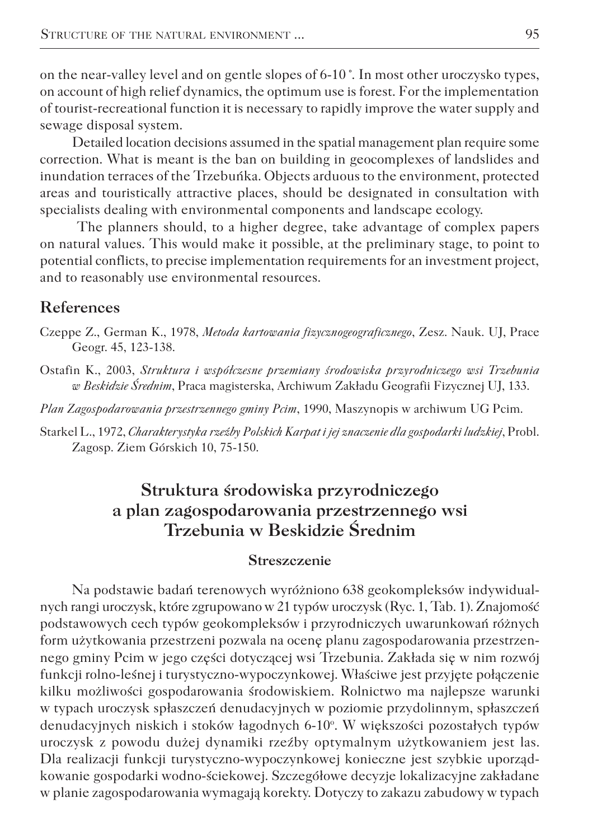on the near-valley level and on gentle slopes of 6-10 °. In most other uroczysko types, on account of high relief dynamics, the optimum use is forest. For the implementation of tourist-recreational function it is necessary to rapidly improve the water supply and sewage disposal system.

Detailed location decisions assumed in the spatial management plan require some correction. What is meant is the ban on building in geocomplexes of landslides and inundation terraces of the Trzebuńka. Objects arduous to the environment, protected areas and touristically attractive places, should be designated in consultation with specialists dealing with environmental components and landscape ecology.

 The planners should, to a higher degree, take advantage of complex papers on natural values. This would make it possible, at the preliminary stage, to point to potential conflicts, to precise implementation requirements for an investment project, and to reasonably use environmental resources.

#### **References**

Czeppe Z., German K., 1978, *Metoda kartowania fizycznogeograficznego*, Zesz. Nauk. UJ, Prace Geogr. 45, 123-138.

Ostafin K., 2003, *Struktura i współczesne przemiany środowiska przyrodniczego wsi Trzebunia w Beskidzie Średnim*, Praca magisterska, Archiwum Zakładu Geografii Fizycznej UJ, 133.

*Plan Zagospodarowania przestrzennego gminy Pcim*, 1990, Maszynopis w archiwum UG Pcim.

Starkel L., 1972, *Charakterystyka rzeźby Polskich Karpat i jej znaczenie dla gospodarki ludzkiej*, Probl. Zagosp. Ziem Górskich 10, 75-150.

## **Struktura środowiska przyrodniczego a plan zagospodarowania przestrzennego wsi Trzebunia w Beskidzie Średnim**

#### **Streszczenie**

Na podstawie badań terenowych wyróżniono 638 geokompleksów indywidualnych rangi uroczysk, które zgrupowano w 21 typów uroczysk (Ryc. 1, Tab. 1). Znajomość podstawowych cech typów geokompleksów i przyrodniczych uwarunkowań różnych form użytkowania przestrzeni pozwala na ocenę planu zagospodarowania przestrzennego gminy Pcim w jego części dotyczącej wsi Trzebunia. Zakłada się w nim rozwój funkcji rolno-leśnej i turystyczno-wypoczynkowej. Właściwe jest przyjęte połączenie kilku możliwości gospodarowania środowiskiem. Rolnictwo ma najlepsze warunki w typach uroczysk spłaszczeń denudacyjnych w poziomie przydolinnym, spłaszczeń denudacyjnych niskich i stoków łagodnych 6-10°. W większości pozostałych typów uroczysk z powodu dużej dynamiki rzeźby optymalnym użytkowaniem jest las. Dla realizacji funkcji turystyczno-wypoczynkowej konieczne jest szybkie uporządkowanie gospodarki wodno-ściekowej. Szczegółowe decyzje lokalizacyjne zakładane w planie zagospodarowania wymagają korekty. Dotyczy to zakazu zabudowy w typach